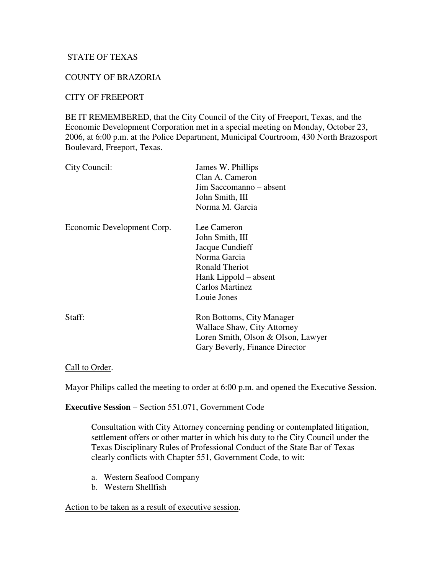## STATE OF TEXAS

## COUNTY OF BRAZORIA

### CITY OF FREEPORT

BE IT REMEMBERED, that the City Council of the City of Freeport, Texas, and the Economic Development Corporation met in a special meeting on Monday, October 23, 2006, at 6:00 p.m. at the Police Department, Municipal Courtroom, 430 North Brazosport Boulevard, Freeport, Texas.

| City Council:              | James W. Phillips<br>Clan A. Cameron<br>Jim Saccomanno – absent<br>John Smith, III<br>Norma M. Garcia                                                        |
|----------------------------|--------------------------------------------------------------------------------------------------------------------------------------------------------------|
| Economic Development Corp. | Lee Cameron<br>John Smith, III<br>Jacque Cundieff<br>Norma Garcia<br><b>Ronald Theriot</b><br>Hank Lippold – absent<br><b>Carlos Martinez</b><br>Louie Jones |
| Staff:                     | Ron Bottoms, City Manager<br>Wallace Shaw, City Attorney<br>Loren Smith, Olson & Olson, Lawyer<br>Gary Beverly, Finance Director                             |

#### Call to Order.

Mayor Philips called the meeting to order at 6:00 p.m. and opened the Executive Session.

**Executive Session** – Section 551.071, Government Code

Consultation with City Attorney concerning pending or contemplated litigation, settlement offers or other matter in which his duty to the City Council under the Texas Disciplinary Rules of Professional Conduct of the State Bar of Texas clearly conflicts with Chapter 551, Government Code, to wit:

- a. Western Seafood Company
- b. Western Shellfish

#### Action to be taken as a result of executive session.